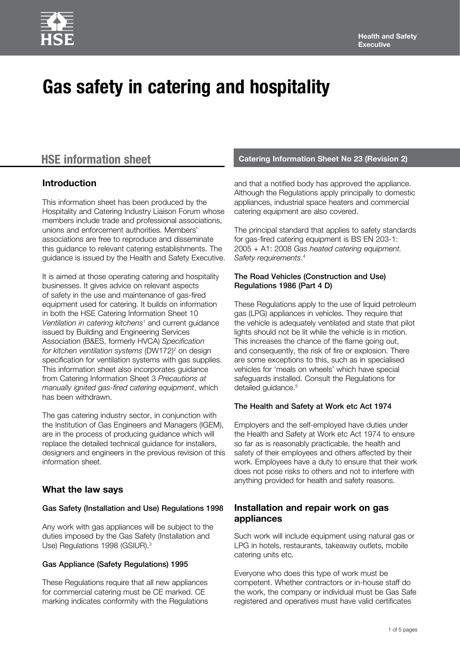# **Gas safety in catering and hospitality**

# **Introduction**

This information sheet has been produced by the Hospitality and Catering Industry Liaison Forum whose members include trade and professional associations, unions and enforcement authorities. Members' associations are free to reproduce and disseminate this guidance to relevant catering establishments. The guidance is issued by the Health and Safety Executive.

It is aimed at those operating catering and hospitality businesses. It gives advice on relevant aspects of safety in the use and maintenance of gas-fired equipment used for catering. It builds on information in both the HSE Catering Information Sheet 10 *Ventilation in catering kitchens*<sup>1</sup> and current guidance issued by Building and Engineering Services Association (B&ES, formerly HVCA) *Specification*  for kitchen ventilation systems (DW172)<sup>2</sup> on design specification for ventilation systems with gas supplies. This information sheet also incorporates guidance from Catering Information Sheet 3 *Precautions at manually ignited gas-fired catering equipment*, which has been withdrawn.

The gas catering industry sector, in conjunction with the Institution of Gas Engineers and Managers (IGEM), are in the process of producing guidance which will replace the detailed technical guidance for installers, designers and engineers in the previous revision of this information sheet.

### **What the law says**

#### Gas Safety (Installation and Use) Regulations 1998

Any work with gas appliances will be subject to the duties imposed by the Gas Safety (Installation and Use) Regulations 1998 (GSIUR).<sup>3</sup>

#### Gas Appliance (Safety Regulations) 1995

These Regulations require that all new appliances for commercial catering must be CE marked. CE marking indicates conformity with the Regulations

# **HSE information sheet Catering Information Sheet No 23 (Revision 2)**

and that a notified body has approved the appliance. Although the Regulations apply principally to domestic appliances, industrial space heaters and commercial catering equipment are also covered.

The principal standard that applies to safety standards for gas-fired catering equipment is BS EN 203-1: 2005 + A1: 2008 *Gas heated catering equipment. Safety requirements*. 4

#### The Road Vehicles (Construction and Use) Regulations 1986 (Part 4 D)

These Regulations apply to the use of liquid petroleum gas (LPG) appliances in vehicles. They require that the vehicle is adequately ventilated and state that pilot lights should not be lit while the vehicle is in motion. This increases the chance of the flame going out, and consequently, the risk of fire or explosion. There are some exceptions to this, such as in specialised vehicles for 'meals on wheels' which have special safeguards installed. Consult the Regulations for detailed guidance.<sup>5</sup>

### The Health and Safety at Work etc Act 1974

Employers and the self-employed have duties under the Health and Safety at Work etc Act 1974 to ensure so far as is reasonably practicable, the health and safety of their employees and others affected by their work. Employees have a duty to ensure that their work does not pose risks to others and not to interfere with anything provided for health and safety reasons.

# **Installation and repair work on gas appliances**

Such work will include equipment using natural gas or LPG in hotels, restaurants, takeaway outlets, mobile catering units etc.

Everyone who does this type of work must be competent. Whether contractors or in-house staff do the work, the company or individual must be Gas Safe registered and operatives must have valid certificates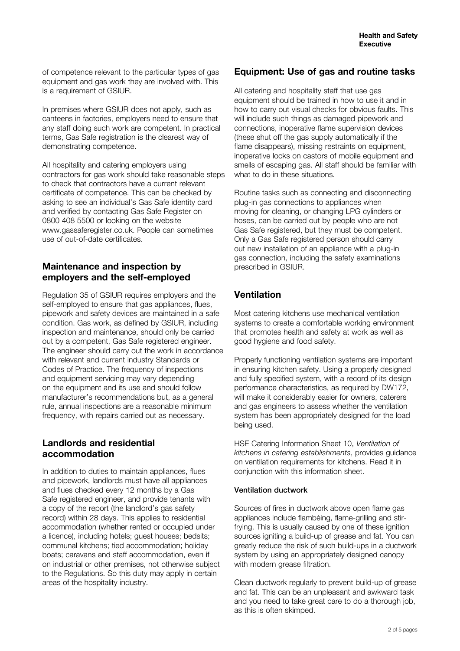of competence relevant to the particular types of gas equipment and gas work they are involved with. This is a requirement of GSIUR.

In premises where GSIUR does not apply, such as canteens in factories, employers need to ensure that any staff doing such work are competent. In practical terms, Gas Safe registration is the clearest way of demonstrating competence.

All hospitality and catering employers using contractors for gas work should take reasonable steps to check that contractors have a current relevant certificate of competence. This can be checked by asking to see an individual's Gas Safe identity card and verified by contacting Gas Safe Register on 0800 408 5500 or looking on the website www.gassaferegister.co.uk. People can sometimes use of out-of-date certificates.

# **Maintenance and inspection by employers and the self-employed**

Regulation 35 of GSIUR requires employers and the self-employed to ensure that gas appliances, flues, pipework and safety devices are maintained in a safe condition. Gas work, as defined by GSIUR, including inspection and maintenance, should only be carried out by a competent, Gas Safe registered engineer. The engineer should carry out the work in accordance with relevant and current industry Standards or Codes of Practice. The frequency of inspections and equipment servicing may vary depending on the equipment and its use and should follow manufacturer's recommendations but, as a general rule, annual inspections are a reasonable minimum frequency, with repairs carried out as necessary.

# **Landlords and residential accommodation**

In addition to duties to maintain appliances, flues and pipework, landlords must have all appliances and flues checked every 12 months by a Gas Safe registered engineer, and provide tenants with a copy of the report (the landlord's gas safety record) within 28 days. This applies to residential accommodation (whether rented or occupied under a licence), including hotels; guest houses; bedsits; communal kitchens; tied accommodation; holiday boats; caravans and staff accommodation, even if on industrial or other premises, not otherwise subject to the Regulations. So this duty may apply in certain areas of the hospitality industry.

# **Equipment: Use of gas and routine tasks**

All catering and hospitality staff that use gas equipment should be trained in how to use it and in how to carry out visual checks for obvious faults. This will include such things as damaged pipework and connections, inoperative flame supervision devices (these shut off the gas supply automatically if the flame disappears), missing restraints on equipment, inoperative locks on castors of mobile equipment and smells of escaping gas. All staff should be familiar with what to do in these situations.

Routine tasks such as connecting and disconnecting plug-in gas connections to appliances when moving for cleaning, or changing LPG cylinders or hoses, can be carried out by people who are not Gas Safe registered, but they must be competent. Only a Gas Safe registered person should carry out new installation of an appliance with a plug-in gas connection, including the safety examinations prescribed in GSIUR.

# **Ventilation**

Most catering kitchens use mechanical ventilation systems to create a comfortable working environment that promotes health and safety at work as well as good hygiene and food safety.

Properly functioning ventilation systems are important in ensuring kitchen safety. Using a properly designed and fully specified system, with a record of its design performance characteristics, as required by DW172, will make it considerably easier for owners, caterers and gas engineers to assess whether the ventilation system has been appropriately designed for the load being used.

HSE Catering Information Sheet 10, *Ventilation of kitchens in catering establishments*, provides guidance on ventilation requirements for kitchens. Read it in conjunction with this information sheet.

#### Ventilation ductwork

Sources of fires in ductwork above open flame gas appliances include flambéing, flame-grilling and stirfrying. This is usually caused by one of these ignition sources igniting a build-up of grease and fat. You can greatly reduce the risk of such build-ups in a ductwork system by using an appropriately designed canopy with modern grease filtration.

Clean ductwork regularly to prevent build-up of grease and fat. This can be an unpleasant and awkward task and you need to take great care to do a thorough job, as this is often skimped.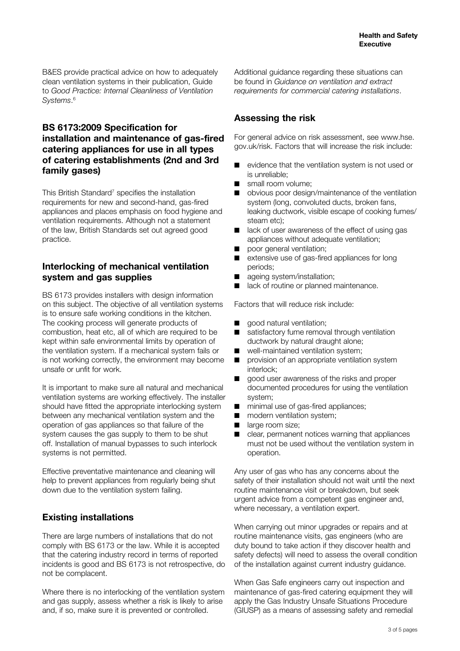B&ES provide practical advice on how to adequately clean ventilation systems in their publication, Guide to *Good Practice: Internal Cleanliness of Ventilation Systems*. 6

# **BS 6173:2009 Specification for installation and maintenance of gas-fired catering appliances for use in all types of catering establishments (2nd and 3rd family gases)**

This British Standard<sup>7</sup> specifies the installation requirements for new and second-hand, gas-fired appliances and places emphasis on food hygiene and ventilation requirements. Although not a statement of the law, British Standards set out agreed good practice.

# **Interlocking of mechanical ventilation system and gas supplies**

BS 6173 provides installers with design information on this subject. The objective of all ventilation systems is to ensure safe working conditions in the kitchen. The cooking process will generate products of combustion, heat etc, all of which are required to be kept within safe environmental limits by operation of the ventilation system. If a mechanical system fails or is not working correctly, the environment may become unsafe or unfit for work.

It is important to make sure all natural and mechanical ventilation systems are working effectively. The installer should have fitted the appropriate interlocking system between any mechanical ventilation system and the operation of gas appliances so that failure of the system causes the gas supply to them to be shut off. Installation of manual bypasses to such interlock systems is not permitted.

Effective preventative maintenance and cleaning will help to prevent appliances from regularly being shut down due to the ventilation system failing.

# **Existing installations**

There are large numbers of installations that do not comply with BS 6173 or the law. While it is accepted that the catering industry record in terms of reported incidents is good and BS 6173 is not retrospective, do not be complacent.

Where there is no interlocking of the ventilation system and gas supply, assess whether a risk is likely to arise and, if so, make sure it is prevented or controlled.

Additional guidance regarding these situations can be found in *Guidance on ventilation and extract requirements for commercial catering installations*.

# **Assessing the risk**

For general advice on risk assessment, see www.hse. gov.uk/risk. Factors that will increase the risk include:

- evidence that the ventilation system is not used or is unreliable;
- small room volume:
- obvious poor design/maintenance of the ventilation system (long, convoluted ducts, broken fans, leaking ductwork, visible escape of cooking fumes/ steam etc);
- lack of user awareness of the effect of using gas appliances without adequate ventilation;
- poor general ventilation;
- extensive use of gas-fired appliances for long periods;
- ageing system/installation;
- lack of routine or planned maintenance.

Factors that will reduce risk include:

- good natural ventilation;
- satisfactory fume removal through ventilation ductwork by natural draught alone;
- well-maintained ventilation system;
- provision of an appropriate ventilation system interlock;
- good user awareness of the risks and proper documented procedures for using the ventilation system;
- minimal use of gas-fired appliances;
- modern ventilation system;
- large room size;
- clear, permanent notices warning that appliances must not be used without the ventilation system in operation.

Any user of gas who has any concerns about the safety of their installation should not wait until the next routine maintenance visit or breakdown, but seek urgent advice from a competent gas engineer and, where necessary, a ventilation expert.

When carrying out minor upgrades or repairs and at routine maintenance visits, gas engineers (who are duty bound to take action if they discover health and safety defects) will need to assess the overall condition of the installation against current industry guidance.

When Gas Safe engineers carry out inspection and maintenance of gas-fired catering equipment they will apply the Gas Industry Unsafe Situations Procedure (GIUSP) as a means of assessing safety and remedial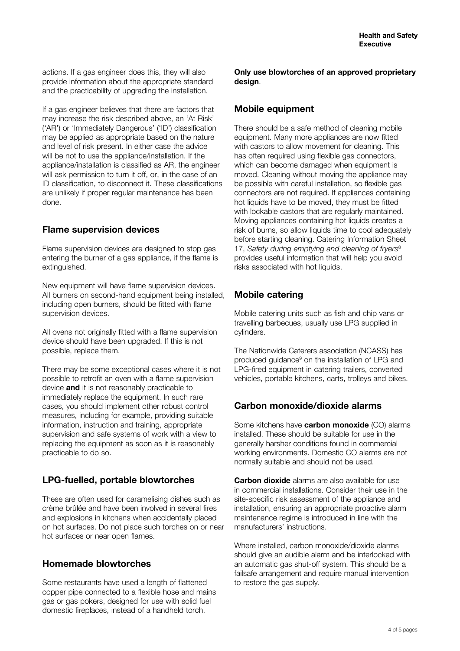actions. If a gas engineer does this, they will also provide information about the appropriate standard and the practicability of upgrading the installation.

If a gas engineer believes that there are factors that may increase the risk described above, an 'At Risk' ('AR') or 'Immediately Dangerous' ('ID') classification may be applied as appropriate based on the nature and level of risk present. In either case the advice will be not to use the appliance/installation. If the appliance/installation is classified as AR, the engineer will ask permission to turn it off, or, in the case of an ID classification, to disconnect it. These classifications are unlikely if proper regular maintenance has been done.

# **Flame supervision devices**

Flame supervision devices are designed to stop gas entering the burner of a gas appliance, if the flame is extinguished.

New equipment will have flame supervision devices. All burners on second-hand equipment being installed. including open burners, should be fitted with flame supervision devices.

All ovens not originally fitted with a flame supervision device should have been upgraded. If this is not possible, replace them.

There may be some exceptional cases where it is not possible to retrofit an oven with a flame supervision device **and** it is not reasonably practicable to immediately replace the equipment. In such rare cases, you should implement other robust control measures, including for example, providing suitable information, instruction and training, appropriate supervision and safe systems of work with a view to replacing the equipment as soon as it is reasonably practicable to do so.

# **LPG-fuelled, portable blowtorches**

These are often used for caramelising dishes such as crème brûlée and have been involved in several fires and explosions in kitchens when accidentally placed on hot surfaces. Do not place such torches on or near hot surfaces or near open flames.

# **Homemade blowtorches**

Some restaurants have used a length of flattened copper pipe connected to a flexible hose and mains gas or gas pokers, designed for use with solid fuel domestic fireplaces, instead of a handheld torch.

**Only use blowtorches of an approved proprietary design**.

## **Mobile equipment**

There should be a safe method of cleaning mobile equipment. Many more appliances are now fitted with castors to allow movement for cleaning. This has often required using flexible gas connectors, which can become damaged when equipment is moved. Cleaning without moving the appliance may be possible with careful installation, so flexible gas connectors are not required. If appliances containing hot liquids have to be moved, they must be fitted with lockable castors that are regularly maintained. Moving appliances containing hot liquids creates a risk of burns, so allow liquids time to cool adequately before starting cleaning. Catering Information Sheet 17, *Safety during emptying and cleaning of fryers*<sup>8</sup> provides useful information that will help you avoid risks associated with hot liquids.

# **Mobile catering**

Mobile catering units such as fish and chip vans or travelling barbecues, usually use LPG supplied in cylinders.

The Nationwide Caterers association (NCASS) has produced guidance<sup>9</sup> on the installation of LPG and LPG-fired equipment in catering trailers, converted vehicles, portable kitchens, carts, trolleys and bikes.

# **Carbon monoxide/dioxide alarms**

Some kitchens have **carbon monoxide** (CO) alarms installed. These should be suitable for use in the generally harsher conditions found in commercial working environments. Domestic CO alarms are not normally suitable and should not be used.

**Carbon dioxide** alarms are also available for use in commercial installations. Consider their use in the site-specific risk assessment of the appliance and installation, ensuring an appropriate proactive alarm maintenance regime is introduced in line with the manufacturers' instructions.

Where installed, carbon monoxide/dioxide alarms should give an audible alarm and be interlocked with an automatic gas shut-off system. This should be a failsafe arrangement and require manual intervention to restore the gas supply.